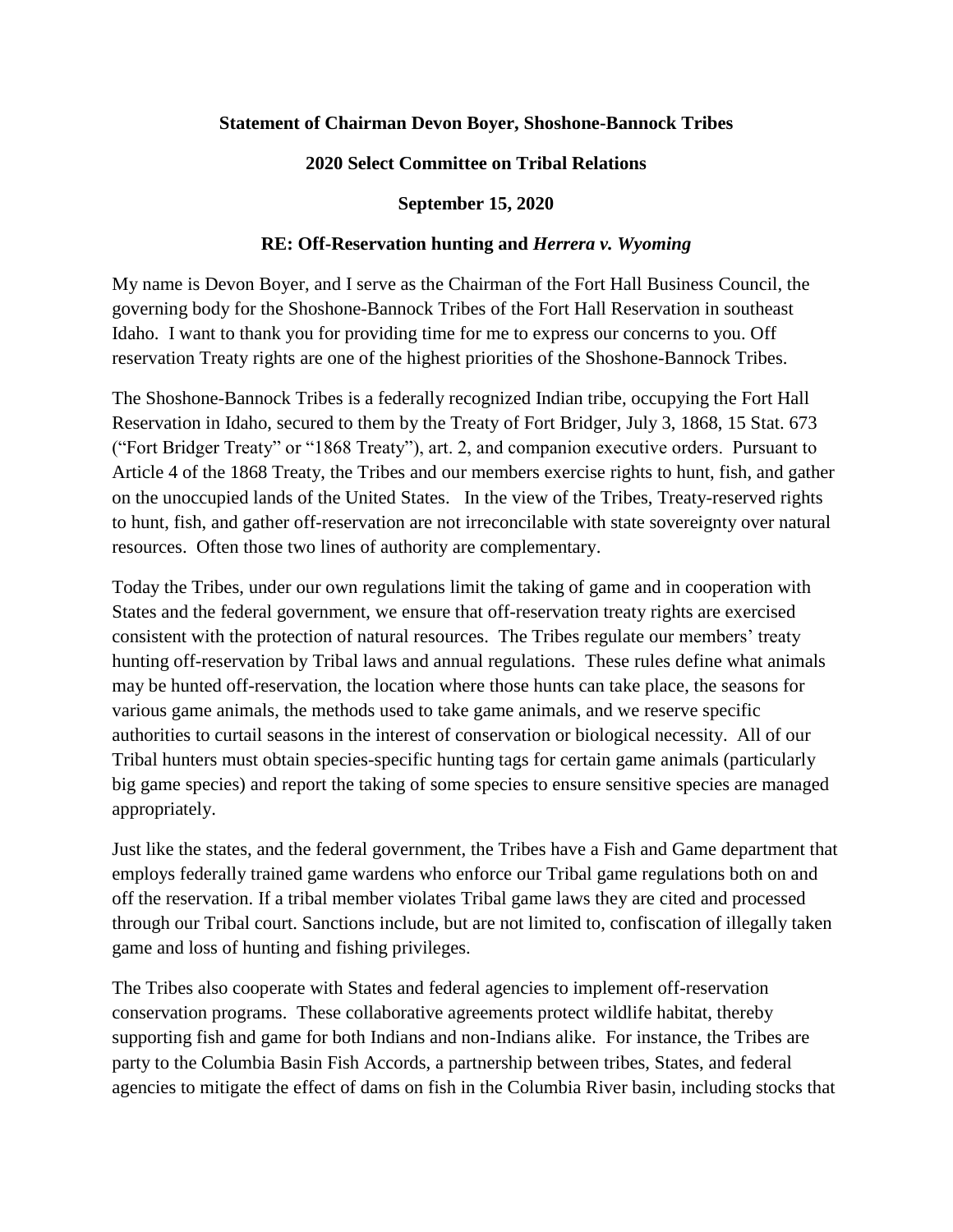## **Statement of Chairman Devon Boyer, Shoshone-Bannock Tribes**

## **2020 Select Committee on Tribal Relations**

## **September 15, 2020**

## **RE: Off-Reservation hunting and** *Herrera v. Wyoming*

My name is Devon Boyer, and I serve as the Chairman of the Fort Hall Business Council, the governing body for the Shoshone-Bannock Tribes of the Fort Hall Reservation in southeast Idaho. I want to thank you for providing time for me to express our concerns to you. Off reservation Treaty rights are one of the highest priorities of the Shoshone-Bannock Tribes.

The Shoshone-Bannock Tribes is a federally recognized Indian tribe, occupying the Fort Hall Reservation in Idaho, secured to them by the Treaty of Fort Bridger, July 3, 1868, 15 Stat. 673 ("Fort Bridger Treaty" or "1868 Treaty"), art. 2, and companion executive orders. Pursuant to Article 4 of the 1868 Treaty, the Tribes and our members exercise rights to hunt, fish, and gather on the unoccupied lands of the United States. In the view of the Tribes, Treaty-reserved rights to hunt, fish, and gather off-reservation are not irreconcilable with state sovereignty over natural resources. Often those two lines of authority are complementary.

Today the Tribes, under our own regulations limit the taking of game and in cooperation with States and the federal government, we ensure that off-reservation treaty rights are exercised consistent with the protection of natural resources. The Tribes regulate our members' treaty hunting off-reservation by Tribal laws and annual regulations. These rules define what animals may be hunted off-reservation, the location where those hunts can take place, the seasons for various game animals, the methods used to take game animals, and we reserve specific authorities to curtail seasons in the interest of conservation or biological necessity. All of our Tribal hunters must obtain species-specific hunting tags for certain game animals (particularly big game species) and report the taking of some species to ensure sensitive species are managed appropriately.

Just like the states, and the federal government, the Tribes have a Fish and Game department that employs federally trained game wardens who enforce our Tribal game regulations both on and off the reservation. If a tribal member violates Tribal game laws they are cited and processed through our Tribal court. Sanctions include, but are not limited to, confiscation of illegally taken game and loss of hunting and fishing privileges.

The Tribes also cooperate with States and federal agencies to implement off-reservation conservation programs. These collaborative agreements protect wildlife habitat, thereby supporting fish and game for both Indians and non-Indians alike. For instance, the Tribes are party to the Columbia Basin Fish Accords, a partnership between tribes, States, and federal agencies to mitigate the effect of dams on fish in the Columbia River basin, including stocks that